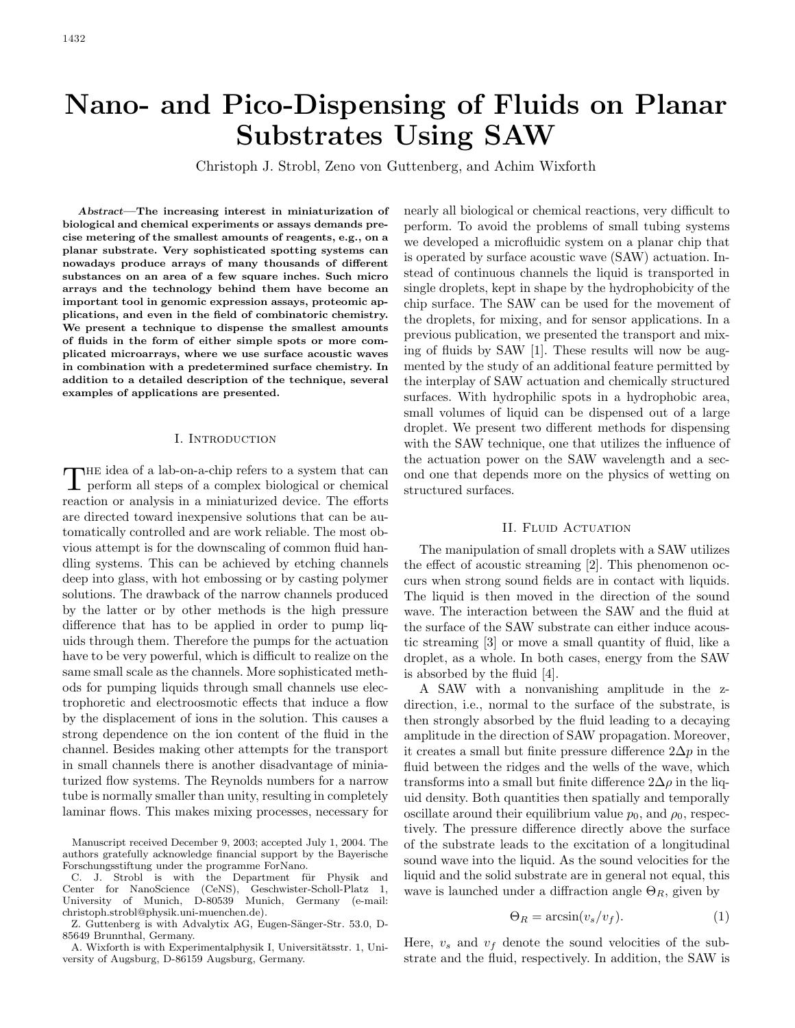# **Nano- and Pico-Dispensing of Fluids on Planar Substrates Using SAW**

Christoph J. Strobl, Zeno von Guttenberg, and Achim Wixforth

*Abstract***—The increasing interest in miniaturization of biological and chemical experiments or assays demands precise metering of the smallest amounts of reagents, e.g., on a planar substrate. Very sophisticated spotting systems can nowadays produce arrays of many thousands of different substances on an area of a few square inches. Such micro arrays and the technology behind them have become an important tool in genomic expression assays, proteomic applications, and even in the field of combinatoric chemistry. We present a technique to dispense the smallest amounts of fluids in the form of either simple spots or more complicated microarrays, where we use surface acoustic waves in combination with a predetermined surface chemistry. In addition to a detailed description of the technique, several examples of applications are presented.**

### I. INTRODUCTION

 $\prod$  HE idea of a lab-on-a-chip refers to a system that can be<br>rform all steps of a complex biological or chemical perform all steps of a complex biological or chemical reaction or analysis in a miniaturized device. The efforts are directed toward inexpensive solutions that can be automatically controlled and are work reliable. The most obvious attempt is for the downscaling of common fluid handling systems. This can be achieved by etching channels deep into glass, with hot embossing or by casting polymer solutions. The drawback of the narrow channels produced by the latter or by other methods is the high pressure difference that has to be applied in order to pump liquids through them. Therefore the pumps for the actuation have to be very powerful, which is difficult to realize on the same small scale as the channels. More sophisticated methods for pumping liquids through small channels use electrophoretic and electroosmotic effects that induce a flow by the displacement of ions in the solution. This causes a strong dependence on the ion content of the fluid in the channel. Besides making other attempts for the transport in small channels there is another disadvantage of miniaturized flow systems. The Reynolds numbers for a narrow tube is normally smaller than unity, resulting in completely laminar flows. This makes mixing processes, necessary for

A. Wixforth is with Experimentalphysik I, Universitätsstr. 1, University of Augsburg, D-86159 Augsburg, Germany.

nearly all biological or chemical reactions, very difficult to perform. To avoid the problems of small tubing systems we developed a microfluidic system on a planar chip that is operated by surface acoustic wave (SAW) actuation. Instead of continuous channels the liquid is transported in single droplets, kept in shape by the hydrophobicity of the chip surface. The SAW can be used for the movement of the droplets, for mixing, and for sensor applications. In a previous publication, we presented the transport and mixing of fluids by SAW [1]. These results will now be augmented by the study of an additional feature permitted by the interplay of SAW actuation and chemically structured surfaces. With hydrophilic spots in a hydrophobic area, small volumes of liquid can be dispensed out of a large droplet. We present two different methods for dispensing with the SAW technique, one that utilizes the influence of the actuation power on the SAW wavelength and a second one that depends more on the physics of wetting on structured surfaces.

### II. FLUID ACTUATION

The manipulation of small droplets with a SAW utilizes the effect of acoustic streaming [2]. This phenomenon occurs when strong sound fields are in contact with liquids. The liquid is then moved in the direction of the sound wave. The interaction between the SAW and the fluid at the surface of the SAW substrate can either induce acoustic streaming [3] or move a small quantity of fluid, like a droplet, as a whole. In both cases, energy from the SAW is absorbed by the fluid [4].

A SAW with a nonvanishing amplitude in the zdirection, i.e., normal to the surface of the substrate, is then strongly absorbed by the fluid leading to a decaying amplitude in the direction of SAW propagation. Moreover, it creates a small but finite pressure difference  $2\Delta p$  in the fluid between the ridges and the wells of the wave, which transforms into a small but finite difference  $2\Delta\rho$  in the liquid density. Both quantities then spatially and temporally oscillate around their equilibrium value  $p_0$ , and  $\rho_0$ , respectively. The pressure difference directly above the surface of the substrate leads to the excitation of a longitudinal sound wave into the liquid. As the sound velocities for the liquid and the solid substrate are in general not equal, this wave is launched under a diffraction angle  $\Theta_R$ , given by

$$
\Theta_R = \arcsin(v_s/v_f). \tag{1}
$$

Here,  $v_s$  and  $v_f$  denote the sound velocities of the substrate and the fluid, respectively. In addition, the SAW is

Manuscript received December 9, 2003; accepted July 1, 2004. The authors gratefully acknowledge financial support by the Bayerische Forschungsstiftung under the programme ForNano.

C. J. Strobl is with the Department für Physik and Center for NanoScience (CeNS), Geschwister-Scholl-Platz 1, University of Munich, D-80539 Munich, Germany (e-mail: christoph.strobl@physik.uni-muenchen.de).

Z. Guttenberg is with Advalytix AG, Eugen-Sänger-Str. 53.0, D-85649 Brunnthal, Germany.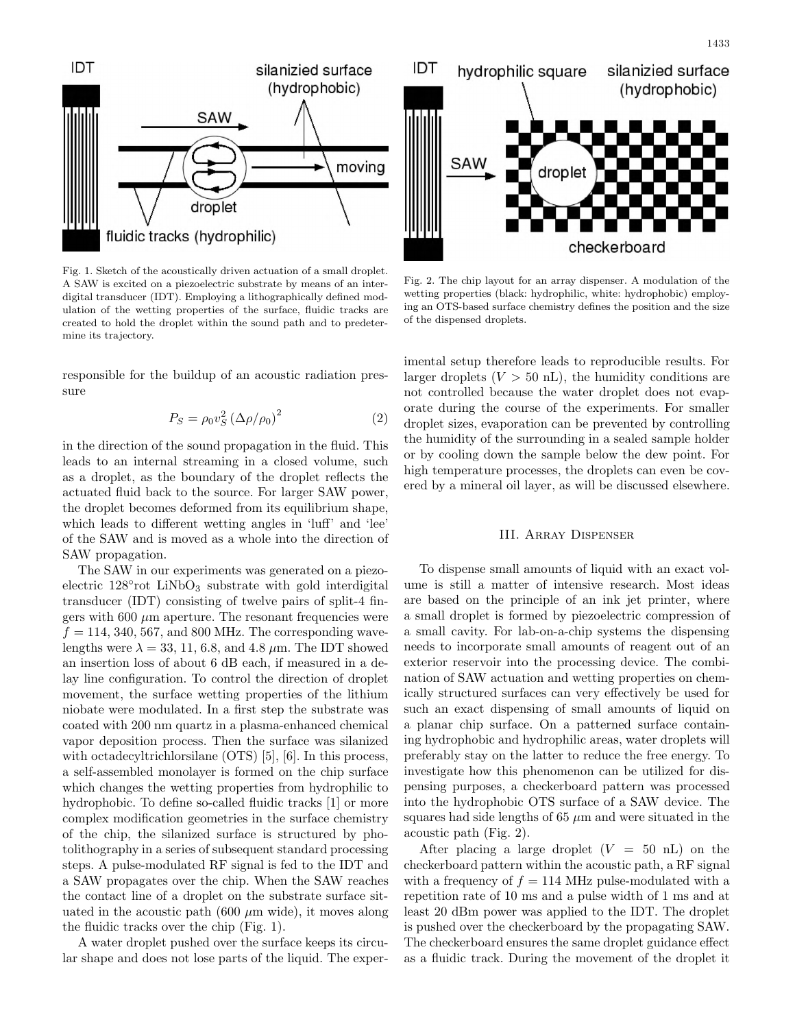

Fig. 1. Sketch of the acoustically driven actuation of a small droplet. A SAW is excited on a piezoelectric substrate by means of an interdigital transducer (IDT). Employing a lithographically defined modulation of the wetting properties of the surface, fluidic tracks are created to hold the droplet within the sound path and to predetermine its trajectory.

responsible for the buildup of an acoustic radiation pressure

$$
P_S = \rho_0 v_S^2 \left(\Delta \rho / \rho_0\right)^2 \tag{2}
$$

in the direction of the sound propagation in the fluid. This leads to an internal streaming in a closed volume, such as a droplet, as the boundary of the droplet reflects the actuated fluid back to the source. For larger SAW power, the droplet becomes deformed from its equilibrium shape, which leads to different wetting angles in 'luff' and 'lee' of the SAW and is moved as a whole into the direction of SAW propagation.

The SAW in our experiments was generated on a piezoelectric  $128^{\circ}$ rot LiNbO<sub>3</sub> substrate with gold interdigital transducer (IDT) consisting of twelve pairs of split-4 fingers with 600  $\mu$ m aperture. The resonant frequencies were  $f = 114, 340, 567, \text{ and } 800 \text{ MHz}$ . The corresponding wavelengths were  $\lambda = 33, 11, 6.8,$  and 4.8  $\mu$ m. The IDT showed an insertion loss of about 6 dB each, if measured in a delay line configuration. To control the direction of droplet movement, the surface wetting properties of the lithium niobate were modulated. In a first step the substrate was coated with 200 nm quartz in a plasma-enhanced chemical vapor deposition process. Then the surface was silanized with octadecyltrichlorsilane (OTS) [5], [6]. In this process, a self-assembled monolayer is formed on the chip surface which changes the wetting properties from hydrophilic to hydrophobic. To define so-called fluidic tracks [1] or more complex modification geometries in the surface chemistry of the chip, the silanized surface is structured by photolithography in a series of subsequent standard processing steps. A pulse-modulated RF signal is fed to the IDT and a SAW propagates over the chip. When the SAW reaches the contact line of a droplet on the substrate surface situated in the acoustic path (600  $\mu$ m wide), it moves along the fluidic tracks over the chip (Fig. 1).

A water droplet pushed over the surface keeps its circular shape and does not lose parts of the liquid. The exper-



Fig. 2. The chip layout for an array dispenser. A modulation of the wetting properties (black: hydrophilic, white: hydrophobic) employing an OTS-based surface chemistry defines the position and the size of the dispensed droplets.

imental setup therefore leads to reproducible results. For larger droplets  $(V > 50 \text{ nL})$ , the humidity conditions are not controlled because the water droplet does not evaporate during the course of the experiments. For smaller droplet sizes, evaporation can be prevented by controlling the humidity of the surrounding in a sealed sample holder or by cooling down the sample below the dew point. For high temperature processes, the droplets can even be covered by a mineral oil layer, as will be discussed elsewhere.

#### III. Array Dispenser

To dispense small amounts of liquid with an exact volume is still a matter of intensive research. Most ideas are based on the principle of an ink jet printer, where a small droplet is formed by piezoelectric compression of a small cavity. For lab-on-a-chip systems the dispensing needs to incorporate small amounts of reagent out of an exterior reservoir into the processing device. The combination of SAW actuation and wetting properties on chemically structured surfaces can very effectively be used for such an exact dispensing of small amounts of liquid on a planar chip surface. On a patterned surface containing hydrophobic and hydrophilic areas, water droplets will preferably stay on the latter to reduce the free energy. To investigate how this phenomenon can be utilized for dispensing purposes, a checkerboard pattern was processed into the hydrophobic OTS surface of a SAW device. The squares had side lengths of  $65 \mu m$  and were situated in the acoustic path (Fig. 2).

After placing a large droplet  $(V = 50 \text{ nL})$  on the checkerboard pattern within the acoustic path, a RF signal with a frequency of  $f = 114$  MHz pulse-modulated with a repetition rate of 10 ms and a pulse width of 1 ms and at least 20 dBm power was applied to the IDT. The droplet is pushed over the checkerboard by the propagating SAW. The checkerboard ensures the same droplet guidance effect as a fluidic track. During the movement of the droplet it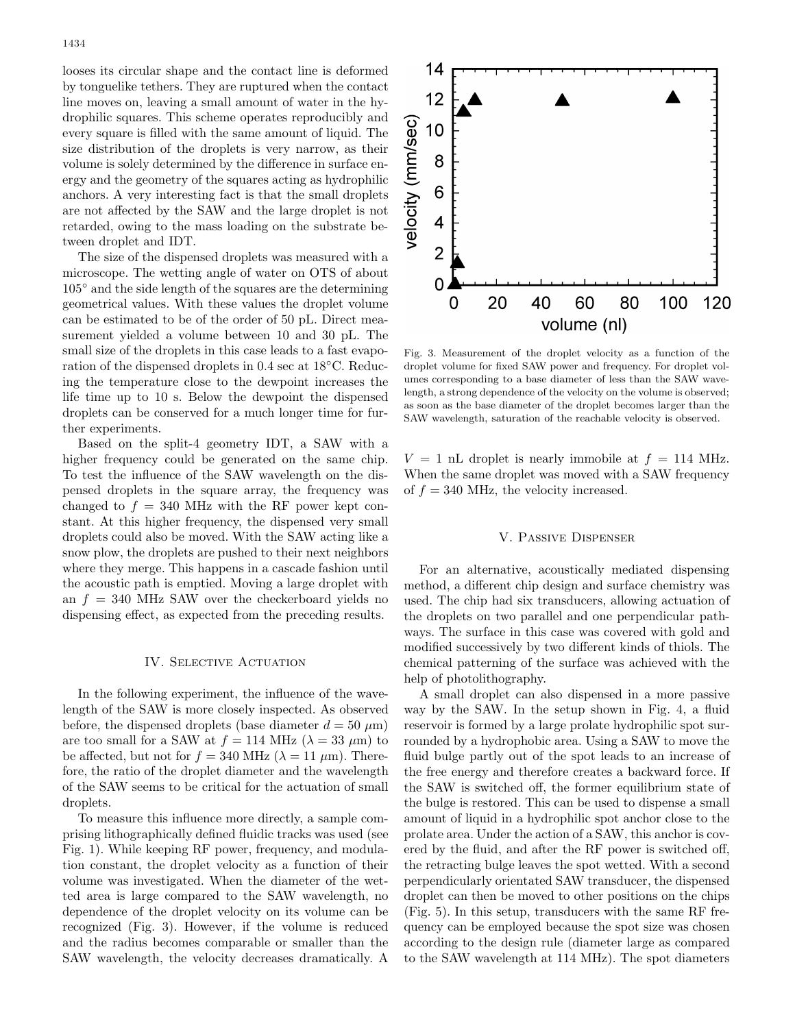looses its circular shape and the contact line is deformed by tonguelike tethers. They are ruptured when the contact line moves on, leaving a small amount of water in the hydrophilic squares. This scheme operates reproducibly and every square is filled with the same amount of liquid. The size distribution of the droplets is very narrow, as their volume is solely determined by the difference in surface energy and the geometry of the squares acting as hydrophilic anchors. A very interesting fact is that the small droplets are not affected by the SAW and the large droplet is not retarded, owing to the mass loading on the substrate between droplet and IDT.

The size of the dispensed droplets was measured with a microscope. The wetting angle of water on OTS of about 105 ◦ and the side length of the squares are the determining geometrical values. With these values the droplet volume can be estimated to be of the order of 50 pL. Direct measurement yielded a volume between 10 and 30 pL. The small size of the droplets in this case leads to a fast evaporation of the dispensed droplets in 0.4 sec at 18<sup>°</sup>C. Reducing the temperature close to the dewpoint increases the life time up to 10 s. Below the dewpoint the dispensed droplets can be conserved for a much longer time for further experiments.

Based on the split-4 geometry IDT, a SAW with a higher frequency could be generated on the same chip. To test the influence of the SAW wavelength on the dispensed droplets in the square array, the frequency was changed to  $f = 340$  MHz with the RF power kept constant. At this higher frequency, the dispensed very small droplets could also be moved. With the SAW acting like a snow plow, the droplets are pushed to their next neighbors where they merge. This happens in a cascade fashion until the acoustic path is emptied. Moving a large droplet with an  $f = 340$  MHz SAW over the checkerboard yields no dispensing effect, as expected from the preceding results.

#### IV. SELECTIVE ACTUATION

In the following experiment, the influence of the wavelength of the SAW is more closely inspected. As observed before, the dispensed droplets (base diameter  $d = 50 \ \mu m$ ) are too small for a SAW at  $f = 114$  MHz ( $\lambda = 33 \mu m$ ) to be affected, but not for  $f = 340$  MHz ( $\lambda = 11 \mu$ m). Therefore, the ratio of the droplet diameter and the wavelength of the SAW seems to be critical for the actuation of small droplets.

To measure this influence more directly, a sample comprising lithographically defined fluidic tracks was used (see Fig. 1). While keeping RF power, frequency, and modulation constant, the droplet velocity as a function of their volume was investigated. When the diameter of the wetted area is large compared to the SAW wavelength, no dependence of the droplet velocity on its volume can be recognized (Fig. 3). However, if the volume is reduced and the radius becomes comparable or smaller than the SAW wavelength, the velocity decreases dramatically. A



Fig. 3. Measurement of the droplet velocity as a function of the droplet volume for fixed SAW power and frequency. For droplet volumes corresponding to a base diameter of less than the SAW wavelength, a strong dependence of the velocity on the volume is observed; as soon as the base diameter of the droplet becomes larger than the SAW wavelength, saturation of the reachable velocity is observed.

 $V = 1$  nL droplet is nearly immobile at  $f = 114$  MHz. When the same droplet was moved with a SAW frequency of  $f = 340$  MHz, the velocity increased.

#### V. Passive Dispenser

For an alternative, acoustically mediated dispensing method, a different chip design and surface chemistry was used. The chip had six transducers, allowing actuation of the droplets on two parallel and one perpendicular pathways. The surface in this case was covered with gold and modified successively by two different kinds of thiols. The chemical patterning of the surface was achieved with the help of photolithography.

A small droplet can also dispensed in a more passive way by the SAW. In the setup shown in Fig. 4, a fluid reservoir is formed by a large prolate hydrophilic spot surrounded by a hydrophobic area. Using a SAW to move the fluid bulge partly out of the spot leads to an increase of the free energy and therefore creates a backward force. If the SAW is switched off, the former equilibrium state of the bulge is restored. This can be used to dispense a small amount of liquid in a hydrophilic spot anchor close to the prolate area. Under the action of a SAW, this anchor is covered by the fluid, and after the RF power is switched off, the retracting bulge leaves the spot wetted. With a second perpendicularly orientated SAW transducer, the dispensed droplet can then be moved to other positions on the chips (Fig. 5). In this setup, transducers with the same RF frequency can be employed because the spot size was chosen according to the design rule (diameter large as compared to the SAW wavelength at 114 MHz). The spot diameters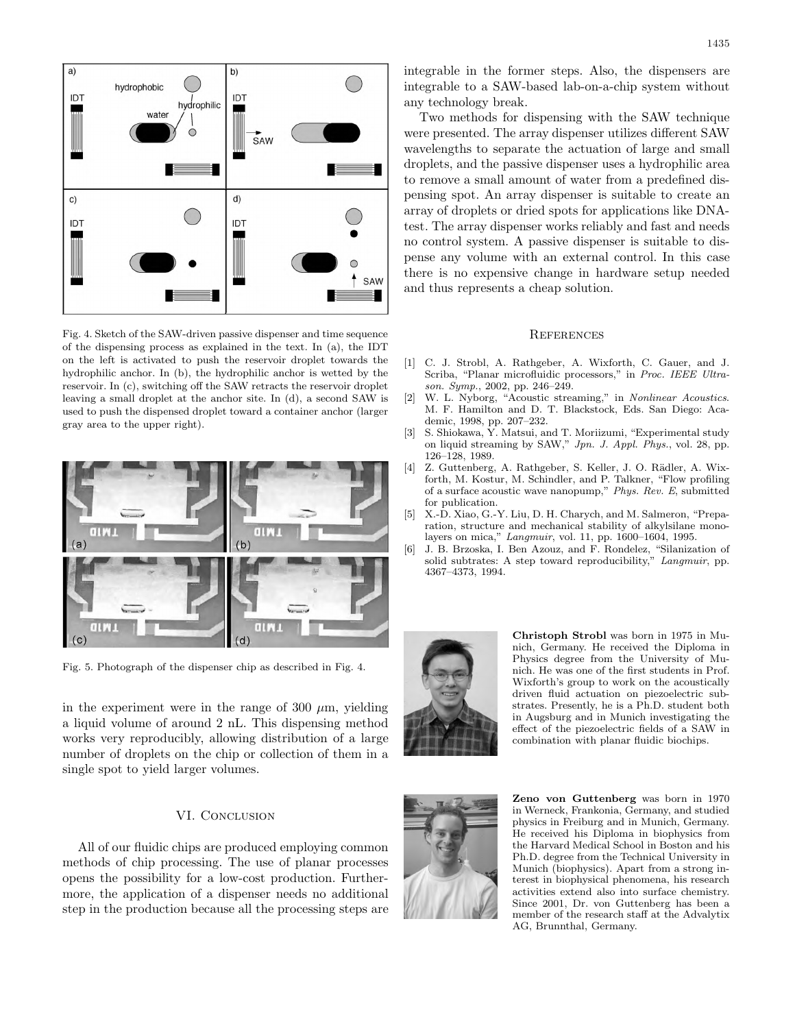

Fig. 4. Sketch of the SAW-driven passive dispenser and time sequence of the dispensing process as explained in the text. In (a), the IDT on the left is activated to push the reservoir droplet towards the hydrophilic anchor. In (b), the hydrophilic anchor is wetted by the reservoir. In (c), switching off the SAW retracts the reservoir droplet leaving a small droplet at the anchor site. In (d), a second SAW is used to push the dispensed droplet toward a container anchor (larger gray area to the upper right).



Fig. 5. Photograph of the dispenser chip as described in Fig. 4.

in the experiment were in the range of 300  $\mu$ m, yielding a liquid volume of around 2 nL. This dispensing method works very reproducibly, allowing distribution of a large number of droplets on the chip or collection of them in a single spot to yield larger volumes.

## VI. CONCLUSION

All of our fluidic chips are produced employing common methods of chip processing. The use of planar processes opens the possibility for a low-cost production. Furthermore, the application of a dispenser needs no additional step in the production because all the processing steps are

integrable in the former steps. Also, the dispensers are integrable to a SAW-based lab-on-a-chip system without any technology break.

Two methods for dispensing with the SAW technique were presented. The array dispenser utilizes different SAW wavelengths to separate the actuation of large and small droplets, and the passive dispenser uses a hydrophilic area to remove a small amount of water from a predefined dispensing spot. An array dispenser is suitable to create an array of droplets or dried spots for applications like DNAtest. The array dispenser works reliably and fast and needs no control system. A passive dispenser is suitable to dispense any volume with an external control. In this case there is no expensive change in hardware setup needed and thus represents a cheap solution.

#### **REFERENCES**

- [1] C. J. Strobl, A. Rathgeber, A. Wixforth, C. Gauer, and J. Scriba, "Planar microfluidic processors," in Proc. IEEE Ultrason. Symp., 2002, pp. 246–249.
- [2] W. L. Nyborg, "Acoustic streaming," in Nonlinear Acoustics. M. F. Hamilton and D. T. Blackstock, Eds. San Diego: Academic, 1998, pp. 207–232.
- [3] S. Shiokawa, Y. Matsui, and T. Moriizumi, "Experimental study on liquid streaming by SAW," Jpn. J. Appl. Phys., vol. 28, pp. 126–128, 1989.
- [4] Z. Guttenberg, A. Rathgeber, S. Keller, J. O. Rädler, A. Wixforth, M. Kostur, M. Schindler, and P. Talkner, "Flow profiling of a surface acoustic wave nanopump," Phys. Rev. E, submitted for publication.
- [5] X.-D. Xiao, G.-Y. Liu, D. H. Charych, and M. Salmeron, "Preparation, structure and mechanical stability of alkylsilane monolayers on mica," Langmuir, vol. 11, pp. 1600–1604, 1995.
- [6] J. B. Brzoska, I. Ben Azouz, and F. Rondelez, "Silanization of solid subtrates: A step toward reproducibility," Langmuir, pp. 4367–4373, 1994.



**Christoph Strobl** was born in 1975 in Munich, Germany. He received the Diploma in Physics degree from the University of Munich. He was one of the first students in Prof. Wixforth's group to work on the acoustically driven fluid actuation on piezoelectric substrates. Presently, he is a Ph.D. student both in Augsburg and in Munich investigating the effect of the piezoelectric fields of a SAW in combination with planar fluidic biochips.



**Zeno von Guttenberg** was born in 1970 in Werneck, Frankonia, Germany, and studied physics in Freiburg and in Munich, Germany. He received his Diploma in biophysics from the Harvard Medical School in Boston and his Ph.D. degree from the Technical University in Munich (biophysics). Apart from a strong interest in biophysical phenomena, his research activities extend also into surface chemistry. Since 2001, Dr. von Guttenberg has been a member of the research staff at the Advalytix AG, Brunnthal, Germany.